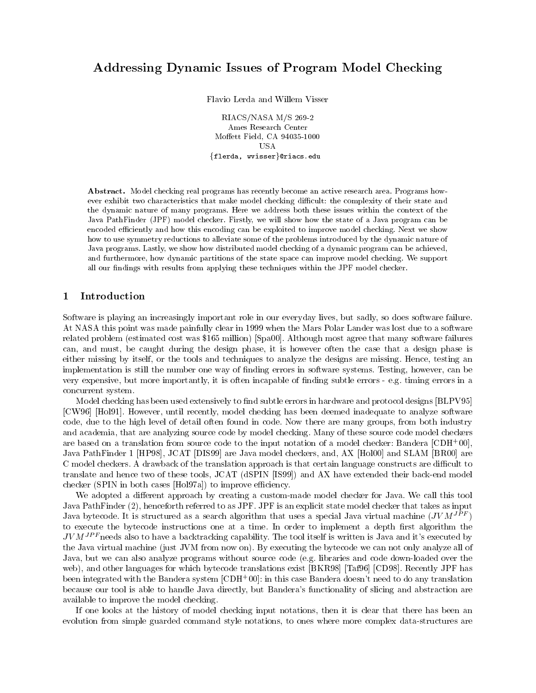# Addressing Dynamic Issues of Program Model Checking

Flavio Lerda and Willem Visser

RIACS/NASA M/S 269-2 Moffett Field, CA 94035-1000 **USA**  ${filerda, wvisser}$ @riacs.edu

Abstract. Model checking real programs has recently become an active research area. Programs how ever exhibit two characteristics that make model checking difficult: the complexity of their state and the dynamic nature of many programs. Here we address both these issues within the context of the Java PathFinder (JPF) model checker. Firstly, we will show how the state of a Java program can be encoded efficiently and how this encoding can be exploited to improve model checking. Next we show how to use symmetry reductions to alleviate some of the problems introduced by the dynamic nature of Java programs. Lastly, we show how distributed model checking of a dynamic program can be achieved, and furthermore, how dynamic partitions of the state space can improve model checking. We support all our findings with results from applying these techniques within the JPF model checker.

### <sup>1</sup> Introduction

Software is playing an increasingly important role in our everyday lives, but sadly, so does software failure. At NASA this point was made painfully clear in 1999 when the Mars Polar Lander was lost due to a software related problem (estimated cost was \$165 million) [Spa00]. Although most agree that many software failures can, and must, be caught during the design phase, it is however often the case that a design phase is either missing by itself, or the tools and techniques to analyze the designs are missing. Hence, testing an implementation is still the number one way of nding errors in software systems. Testing, however, can be very expensive, but more importantly, it is often incapable of nding subtle errors - e.g. timing errors in a concurrent system.

Model checking has been used extensively to find subtle errors in hardware and protocol designs [BLPV95] [CW96] [Hol91]. However, until recently, model checking has been deemed inadequate to analyze software code, due to the high level of detail often found in code. Now there are many groups, from both industry and academia, that are analyzing source code by model checking. Many of these source code model checkers are based on a translation from source code to the input notation of a model checker: Bandera [CDH<sup>+</sup> 00], Java PathFinder 1 [HP98], JCAT [DIS99] are Java model checkers, and, AX [Hol00] and SLAM [BR00] are C model checkers. A drawback of the translation approach is that certain language constructs are difficult to translate and hence two of these tools, JCAT (dSPIN [IS99]) and AX have extended their back-end model checker (SPIN in both cases [Hol97a]) to improve efficiency.

We adopted a different approach by creating a custom-made model checker for Java. We call this tool Java PathFinder (2), henceforth referred to as JPF. JPF is an explicit state model checker that takes as input Java bytecode. It is structured as a search algorithm that uses a special Java virtual machine  $(JVM^{JPF})$ to execute the bytecode instructions one at a time. In order to implement a depth first algorithm the  $JVM^{JPF}$  needs also to have a backtracking capability. The tool itself is written is Java and it's executed by the Java virtual machine (just JVM from now on). By executing the bytecode we can not only analyze all of Java, but we can also analyze programs without source code (e.g. libraries and code down-loaded over the web), and other languages for which bytecode translations exist [BKR98] [Taf96] [CD98]. Recently JPF has been integrated with the Bandera system [CDH+ 00]: in this case Bandera doesn't need to do any translation because our tool is able to handle Java directly, but Bandera's functionality of slicing and abstraction are available to improve the model checking.

If one looks at the history of model checking input notations, then it is clear that there has been an evolution from simple guarded command style notations, to ones where more complex data-structures are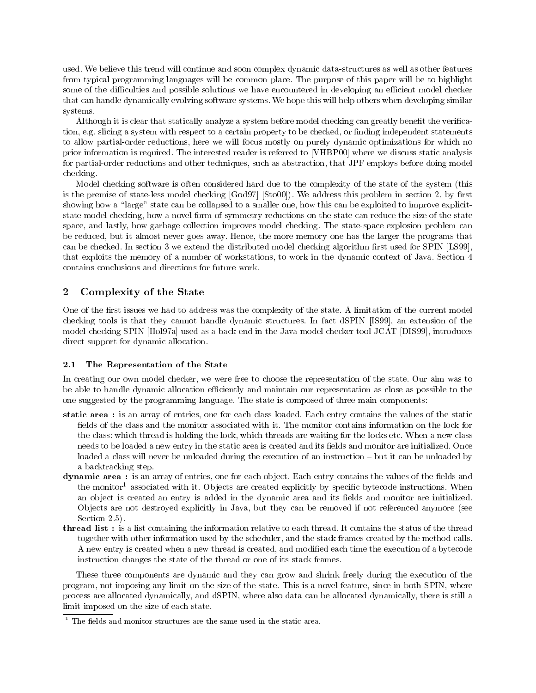used. We believe this trend will continue and soon complex dynamic data-structures as well as other features from typical programming languages will be common place. The purpose of this paper will be to highlight some of the difficulties and possible solutions we have encountered in developing an efficient model checker that can handle dynamically evolving software systems. We hope this will help others when developing similar systems.

Although it is clear that statically analyze a system before model checking can greatly benefit the verification, e.g. slicing a system with respect to a certain property to be checked, or finding independent statements to allow partial-order reductions, here we will focus mostly on purely dynamic optimizations for which no prior information is required. The interested reader is referred to [VHBP00] where we discuss static analysis for partial-order reductions and other techniques, such as abstraction, that JPF employs before doing model checking.

Model checking software is often considered hard due to the complexity of the state of the system (this is the premise of state-less model checking [God97] [Sto00]). We address this problem in section 2, by first showing how a "large" state can be collapsed to a smaller one, how this can be exploited to improve explicitstate model checking, how a novel form of symmetry reductions on the state can reduce the size of the state space, and lastly, how garbage collection improves model checking. The state-space explosion problem can be reduced, but it almost never goes away. Hence, the more memory one has the larger the programs that can be checked. In section 3 we extend the distributed model checking algorithm first used for SPIN [LS99], that exploits the memory of a number of workstations, to work in the dynamic context of Java. Section 4 contains conclusions and directions for future work.

### <sup>2</sup> Complexity of the State

One of the first issues we had to address was the complexity of the state. A limitation of the current model checking tools is that they cannot handle dynamic structures. In fact dSPIN [IS99], an extension of the model checking SPIN [Hol97a] used as a back-end in the Java model checker tool JCAT [DIS99], introduces direct support for dynamic allocation.

### 2.1 The Representation of the State

In creating our own model checker, we were free to choose the representation of the state. Our aim was to be able to handle dynamic allocation efficiently and maintain our representation as close as possible to the one suggested by the programming language. The state is composed of three main components:

- static area : is an array of entries, one for each class loaded. Each entry contains the values of the static fields of the class and the monitor associated with it. The monitor contains information on the lock for the class: which thread is holding the lock, which threads are waiting for the locks etc. When a new class needs to be loaded a new entry in the static area is created and its fields and monitor are initialized. Once loaded a class will never be unloaded during the execution of an instruction  $-$  but it can be unloaded by a backtracking step.
- dynamic area : is an array of entries, one for each ob ject. Each entry contains the values of the elds and the monitor<sup>1</sup> associated with it. Objects are created explicitly by specific bytecode instructions. When an object is created an entry is added in the dynamic area and its fields and monitor are initialized. Ob jects are not destroyed explicitly in Java, but they can be removed if not referenced anymore (see Section  $2.5$ ). Section 2.5).
- thread list : is a list containing the information relative to each thread. It contains the status of the thread together with other information used by the scheduler, and the stack frames created by the method calls. A new entry is created when a new thread is created, and modied each time the execution of a bytecode instruction changes the state of the thread or one of its stack frames.

These three components are dynamic and they can grow and shrink freely during the execution of the program, not imposing any limit on the size of the state. This is a novel feature, since in both SPIN, where process are allocated dynamically, and dSPIN, where also data can be allocated dynamically, there is still a limit imposed on the size of each state.

 $\,$  - The fields and monitor structures are the same used in the static area.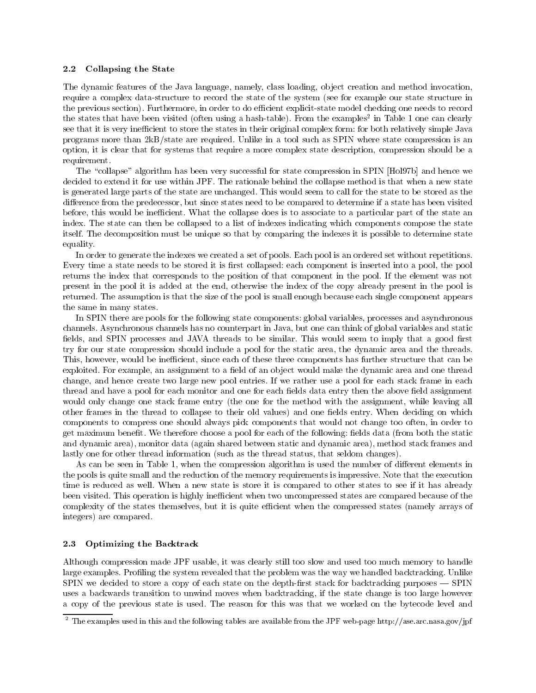#### 2.2Collapsing the State

The dynamic features of the Java language, namely, class loading, object creation and method invocation, require a complex data-structure to record the state of the system (see for example our state structure in the previous section). Furthermore, in order to do efficient explicit-state model checking one needs to record the states that have been visited (often using a hash-table). From the examples—in Table 1 one can clearly the see that it is very inefficient to store the states in their original complex form: for both relatively simple Java programs more than 2kB/state are required. Unlike in a tool such as SPIN where state compression is an option, it is clear that for systems that require a more complex state description, compression should be a requirement.

The "collapse" algorithm has been very successful for state compression in SPIN [Hol97b] and hence we decided to extend it for use within JPF. The rationale behind the collapse method is that when a new state is generated large parts of the state are unchanged. This would seem to call for the state to be stored as the difference from the predecessor, but since states need to be compared to determine if a state has been visited before, this would be inefficient. What the collapse does is to associate to a particular part of the state an index. The state can then be collapsed to a list of indexes indicating which components compose the state itself. The decomposition must be unique so that by comparing the indexes it is possible to determine state equality.

In order to generate the indexes we created a set of pools. Each pool is an ordered set without repetitions. Every time a state needs to be stored it is first collapsed: each component is inserted into a pool, the pool returns the index that corresponds to the position of that component in the pool. If the element was not present in the pool it is added at the end, otherwise the index of the copy already present in the pool is returned. The assumption is that the size of the pool is small enough because each single component appears the same in many states.

In SPIN there are pools for the following state components: global variables, processes and asynchronous channels. Asynchronous channels has no counterpart in Java, but one can think of global variables and static fields, and SPIN processes and JAVA threads to be similar. This would seem to imply that a good first try for our state compression should include a pool for the static area, the dynamic area and the threads. This, however, would be inefficient, since each of these three components has further structure that can be exploited. For example, an assignment to a field of an object would make the dynamic area and one thread change, and hence create two large new pool entries. If we rather use a pool for each stack frame in each thread and have a pool for each monitor and one for each fields data entry then the above field assignment would only change one stack frame entry (the one for the method with the assignment, while leaving all other frames in the thread to collapse to their old values) and one fields entry. When deciding on which components to compress one should always pick components that would not change too often, in order to get maximum benefit. We therefore choose a pool for each of the following: fields data (from both the static and dynamic area), monitor data (again shared between static and dynamic area), method stack frames and lastly one for other thread information (such as the thread status, that seldom changes).

As can be seen in Table 1, when the compression algorithm is used the number of different elements in the pools is quite small and the reduction of the memory requirements is impressive. Note that the execution time is reduced as well. When a new state is store it is compared to other states to see ifit has already been visited. This operation is highly inefficient when two uncompressed states are compared because of the complexity of the states themselves, but it is quite efficient when the compressed states (namely arrays of integers) are compared.

### 2.3Optimizing the Backtrack

Although compression made JPF usable, it was clearly still too slow and used too much memory to handle large examples. Profiling the system revealed that the problem was the way we handled backtracking. Unlike  $SPIN$  we decided to store a copy of each state on the depth-first stack for backtracking purposes  $-$  SPIN uses a backwards transition to unwind moves when backtracking, if the state change is too large however a copy of the previous state is used. The reason for this was that we worked on the bytecode level and

<sup>2</sup> The examples used in this and the following tables are available from the JPF web-page http://ase.arc.nasa.gov/jpf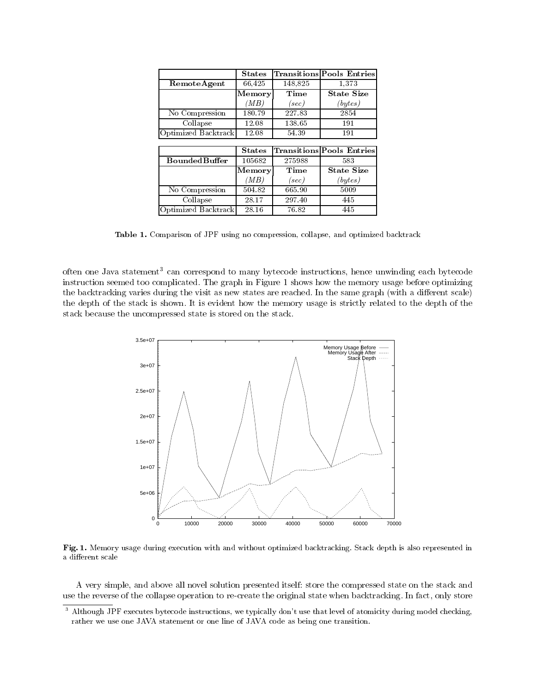|                      | <b>States</b> |                     | <b>Transitions Pools Entries</b> |
|----------------------|---------------|---------------------|----------------------------------|
| RemoteAgent          | 66,425        | 148,825             | 1.373                            |
|                      | Memory        | Time                | <b>State Size</b>                |
|                      | (MB)          | $\left( sec\right)$ | (bytes)                          |
| No Compression       | 180.79        | 227.83              | 2854                             |
| Collapse             | 12.08         | 138.65              | 191                              |
| Optimized Backtrack  | 12.08         | 54.39               | 191                              |
|                      |               |                     |                                  |
|                      | <b>States</b> |                     | <b>Transitions Pools Entries</b> |
| <b>BoundedBuffer</b> | 105682        | 275988              | 583                              |
|                      | Memory        | Time                | <b>State Size</b>                |
|                      | (MB)          | (sec)               | (bytes)                          |
| No Compression       | 504.82        | 665.90              | 5009                             |
| Collapse             | 28.17         | 297.40              | 445                              |
| Optimized Backtrack  | 28.16         | 76.82               | 445                              |

Table 1. Comparison of JPF using no compression, collapse, and optimized backtrack

often one Java statement3 can correspond to many bytecode instructions, hence unwinding each bytecode instruction seemed too complicated. The graph in Figure 1 shows how the memory usage before optimizing the backtracking varies during the visit as new states are reached. In the same graph (with a different scale) the depth of the stack is shown. It is evident how the memory usage is strictly related to the depth of the stack because the uncompressed state is stored on the stack.



Fig. 1. Memory usage during execution with and without optimized backtracking. Stack depth is also represented in a different scale

A very simple, and above all novel solution presented itself: store the compressed state on the stack and use the reverse of the collapse operation to re-create the original state when backtracking. In fact, only store

<sup>3</sup> Although JPF executes bytecode instructions, we typically don't use that level of atomicity during model checking, rather we use one JAVA statement or one line of JAVA code as being one transition.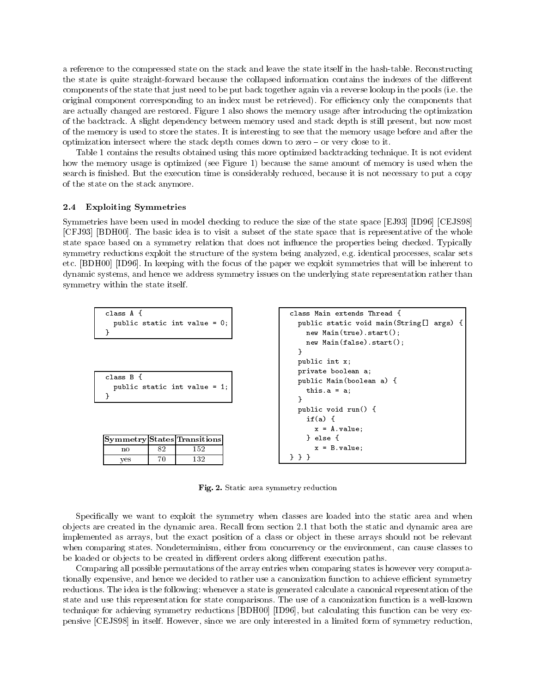a reference to the compressed state on the stack and leave the state itself in the hash-table. Reconstructing the state is quite straight-forward because the collapsed information contains the indexes of the different components of the state that just need to be put back together again via a reverse lookup in the pools (i.e. the original component corresponding to an index must be retrieved). For efficiency only the components that are actually changed are restored. Figure 1 also shows the memory usage after introducing the optimization of the backtrack. A slight dependency between memory used and stack depth is still present, but now most of the memory is used to store the states. It is interesting to see that the memory usage before and after the optimization intersect where the stack depth comes down to zero  $-$  or very close to it.

Table 1 contains the results obtained using this more optimized backtracking technique. It is not evident how the memory usage is optimized (see Figure 1) because the same amount of memory is used when the search is finished. But the execution time is considerably reduced, because it is not necessary to put a copy of the state on the stack anymore.

### 2.4Exploiting Symmetries

Symmetries have been used in model checking to reduce the size of the state space [EJ93] [ID96] [CEJS98] [CFJ93] [BDH00]. The basic idea is to visit a subset of the state space that is representative of the whole state space based on a symmetry relation that does not influence the properties being checked. Typically symmetry reductions exploit the structure of the system being analyzed, e.g. identical processes, scalar sets etc. [BDH00] [ID96]. In keeping with the focus of the paper we exploit symmetries that will be inherent to dynamic systems, and hence we address symmetry issues on the underlying state representation rather than symmetry within the state itself.



Fig. 2. Static area symmetry reduction

Specically we want to exploit the symmetry when classes are loaded into the static area and when ob jects are created in the dynamic area. Recall from section 2.1 that both the static and dynamic area are implemented as arrays, but the exact position of a class or object in these arrays should not be relevant when comparing states. Nondeterminism, either from concurrency or the environment, can cause classes to be loaded or objects to be created in different orders along different execution paths.

Comparing all possible permutations of the array entries when comparing states is however very computationally expensive, and hence we decided to rather use a canonization function to achieve efficient symmetry reductions. The idea is the following: whenever a state is generated calculate a canonical representation of the state and use this representation for state comparisons. The use of a canonization function is a well-known technique for achieving symmetry reductions [BDH00] [ID96], but calculating this function can be very expensive [CEJS98] in itself. However, since we are only interested in a limited form of symmetry reduction,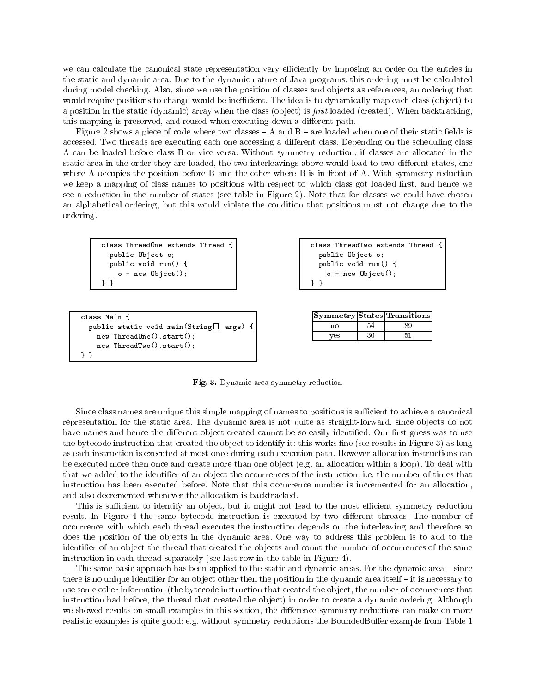we can calculate the canonical state representation very efficiently by imposing an order on the entries in the static and dynamic area. Due to the dynamic nature of Java programs, this ordering must be calculated during model checking. Also, since we use the position of classes and ob jects as references, an ordering that would require positions to change would be inefficient. The idea is to dynamically map each class (object) to a position in the static (dynamic) array when the class (object) is *first* loaded (created). When backtracking, this mapping is preserved, and reused when executing down a different path.

Figure 2 shows a piece of code where two classes  $- A$  and  $B$  – are loaded when one of their static fields is accessed. Two threads are executing each one accessing a different class. Depending on the scheduling class A can be loaded before class B or vice-versa. Without symmetry reduction, if classes are allocated in the static area in the order they are loaded, the two interleavings above would lead to two different states, one where A occupies the position before B and the other where B is in front of A. With symmetry reduction we keep a mapping of class names to positions with respect to which class got loaded first, and hence we see a reduction in the number of states (see table in Figure 2). Note that for classes we could have chosen an alphabetical ordering, but this would violate the condition that positions must not change due to the ordering.

```
class ThreadOne extends Thread {
 public Object o;
 public void run() {
    o = new Object();
```
} }

```
class Main {
 public static void main(String[] args) {
    new ThreadOne().start();
    new ThreadTwo().start();
} }
```

```
class ThreadTwo extends Thread {
 public Object o;
 public void run() {
   o = new Object();
 - 7
} }
```

|     | Symmetry States Transitions |
|-----|-----------------------------|
| n∩  |                             |
| ves |                             |

Fig. 3. Dynamic area symmetry reduction

Since class names are unique this simple mapping of names to positions is sufficient to achieve a canonical representation for the static area. The dynamic area is not quite as straight-forward, since objects do not have names and hence the different object created cannot be so easily identified. Our first guess was to use the bytecode instruction that created the object to identify it: this works fine (see results in Figure 3) as long as each instruction is executed at most once during each execution path. However allocation instructions can be executed more then once and create more than one ob ject (e.g. an allocation within a loop). To deal with that we added to the identifier of an object the occurrences of the instruction, i.e. the number of times that instruction has been executed before. Note that this occurrence number is incremented for an allocation, and also decremented whenever the allocation is backtracked.

This is sufficient to identify an object, but it might not lead to the most efficient symmetry reduction result. In Figure 4 the same bytecode instruction is executed by two different threads. The number of occurrence with which each thread executes the instruction depends on the interleaving and therefore so does the position of the objects in the dynamic area. One way to address this problem is to add to the identifier of an object the thread that created the objects and count the number of occurrences of the same instruction in each thread separately (see last row in the table in Figure 4).

The same basic approach has been applied to the static and dynamic areas. For the dynamic area  ${\bf -}$  since there is no unique identifier for an object other then the position in the dynamic area itself  $-$  it is necessary to use some other information (the bytecode instruction that created the ob ject, the number of occurrences that instruction had before, the thread that created the object) in order to create a dynamic ordering. Although we showed results on small examples in this section, the difference symmetry reductions can make on more realistic examples is quite good: e.g. without symmetry reductions the BoundedBuffer example from Table 1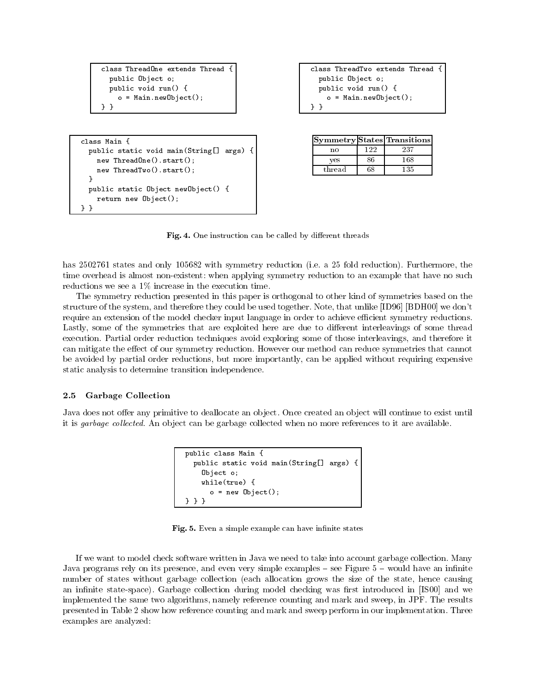```
class ThreadOne extends Thread {
 public Object o;
 public void run() {
   o = Main.newObject();
ኑ ኑ
} }
```

```
class Main \simpublic static void main(String[] args) {
   new ThreadOne().start();
   new ThreadTwo().start();
  }
 public static Object newObject() {
   return new Object();
} }
```

| class ThreadTwo extends Thread { |
|----------------------------------|
| public Object o;                 |
| public void run() {              |
| $o = \text{Main.newObject}()$ ;  |
|                                  |

|        |     | <b>Symmetry</b> States Transitions |
|--------|-----|------------------------------------|
| nο     | 122 | 237                                |
| ves    | የሮ  | 168                                |
| thread | 38  | 135                                |

Fig. 4. One instruction can be called by different threads

has 2502761 states and only 105682 with symmetry reduction (i.e. a 25 fold reduction). Furthermore, the time overhead is almost non-existent: when applying symmetry reduction to an example that have no such reductions we see a 1% increase in the execution time.

The symmetry reduction presented in this paper is orthogonal to other kind of symmetries based on the structure of the system, and therefore they could be used together. Note, that unlike [ID96] [BDH00] we don't require an extension of the model checker input language in order to achieve efficient symmetry reductions. Lastly, some of the symmetries that are exploited here are due to different interleavings of some thread execution. Partial order reduction techniques avoid exploring some of those interleavings, and therefore it can mitigate the effect of our symmetry reduction. However our method can reduce symmetries that cannot be avoided by partial order reductions, but more importantly, can be applied without requiring expensive static analysis to determine transition independence.

### 2.5Garbage Collection

Java does not offer any primitive to deallocate an object. Once created an object will continue to exist until it is garbage collected. An object can be garbage collected when no more references to it are available.

```
public class Main {
  public static void main(String[] args) {
    Object o;
    while(true) {
      o = new Object();
} } }
```
Fig. 5. Even a simple example can have infinite states

If we want to model check software written in Java we need to take into account garbage collection. Many Java programs rely on its presence, and even very simple examples  $-$  see Figure  $5$   $-$  would have an infinite number of states without garbage collection (each allocation grows the size of the state, hence causing an infinite state-space). Garbage collection during model checking was first introduced in [IS00] and we implemented the same two algorithms, namely reference counting and mark and sweep, in JPF. The results presented in Table 2 show how reference counting and mark and sweep perform in our implementation. Three examples are analyzed: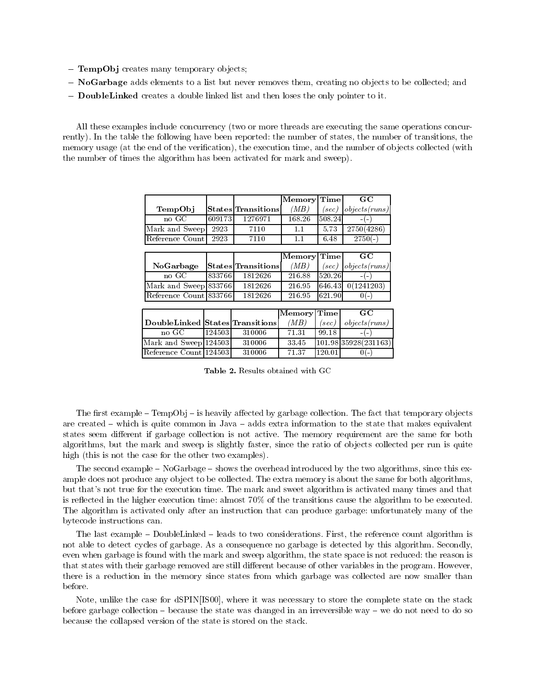- ${\bf -}$  rempoblic reates many temporary objects;
- { NoGarbage adds elements to a list but never removes them, creating no ob jects to be collected; and
- { DoubleLinked creates a double linked list and then loses the only pointer to it.

All these examples include concurrency (two or more threads are executing the same operations concurrently). In the table the following have been reported: the number of states, the number of transitions, the memory usage (at the end of the verification), the execution time, and the number of objects collected (with the number of times the algorithm has been activated for mark and sweep).

|                                 |        |                           | Memory Time |                     | GC                    |
|---------------------------------|--------|---------------------------|-------------|---------------------|-----------------------|
| TempOb <sub>1</sub>             |        | <b>States Transitions</b> | (MB)        | $\it (sec)$         | objects(runs)         |
| no GC                           | 609173 | 1276971                   | 168.26      | 508.24              | - 1 -                 |
| Mark and Sweep                  | 2923   | 7110                      | 1.1         | 5.73                | 2750(4286)            |
| Reference Count                 | 2923   | 7110                      | 1.1         | 6.48                | $2750(-)$             |
|                                 |        |                           |             |                     |                       |
|                                 |        |                           | Memory Time |                     | GC                    |
| NoGarbage                       |        | <b>States Transitions</b> | (MB)        | $\left( sec\right)$ | objects(runs)         |
| no GC                           | 833766 | 1812626                   | 216.88      | 520.26              | - ( -                 |
| Mark and Sweep 833766           |        | 1812626                   | 216.95      | 646.43              | 0(1241203)            |
| Reference Count 833766          |        | 1812626                   | 216.95      | 621.90              | $0(-)$                |
|                                 |        |                           |             |                     |                       |
|                                 |        |                           | Memory      | Time                | GC                    |
| DoubleLinked States Transitions |        |                           | (MB)        | $\left( sec\right)$ | objects(runs)         |
| no GC                           | 124503 | 310006                    | 71.31       | 99.18               | $-1-$                 |
| Mark and Sweep 124503           |        | 310006                    | 33.45       |                     | 101.98 35928 (231163) |
| Reference Count 124503          |        | 310006                    | 71.37       | 120.01              | $0(-$                 |

Table 2. Results obtained with GC

The first example  $-$  TempOb j  $-$  is heavily affected by garbage collection. The fact that temporary objects are created  $-$  which is quite common in Java  $-$  adds extra information to the state that makes equivalent states seem different if garbage collection is not active. The memory requirement are the same for both algorithms, but the mark and sweep is slightly faster, since the ratio of objects collected per run is quite high (this is not the case for the other two examples).

The second example  ${\rm -NoGarbage-shows}$  the overhead introduced by the two algorithms, since this example does not produce any object to be collected. The extra memory is about the same for both algorithms, but that's not true for the execution time. The mark and sweet algorithm is activated many times and that is reflected in the higher execution time: almost 70% of the transitions cause the algorithm to be executed. The algorithm is activated only after an instruction that can produce garbage: unfortunately many of the bytecode instructions can.

The last example – DoubleLinked – leads to two considerations. First, the reference count algorithm is not able to detect cycles of garbage. As a consequence no garbage is detected by this algorithm. Secondly, even when garbage is found with the mark and sweep algorithm, the state space is not reduced: the reason is that states with their garbage removed are still different because of other variables in the program. However, there is a reduction in the memory since states from which garbage was collected are now smaller than before.

Note, unlike the case for dSPIN[IS00], where it was necessary to store the complete state on the stack before garbage collection  ${\bf -}$  because the state was changed in an irreversible way  ${\bf -}$  we do not need to do so because the collapsed version of the state is stored on the stack.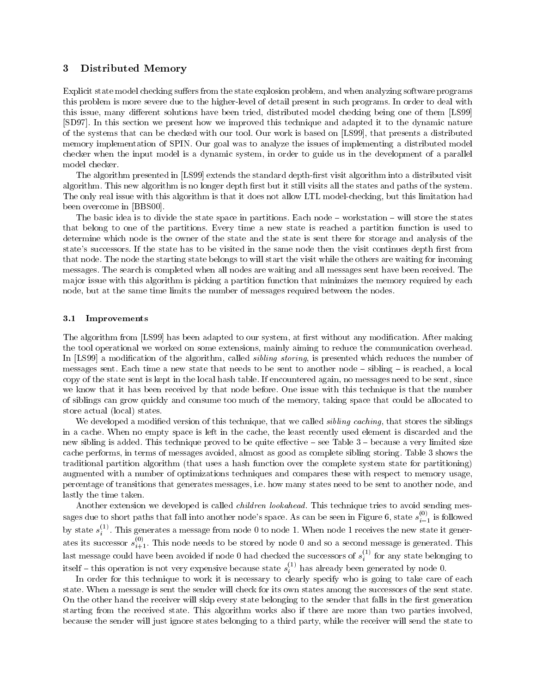### <sup>3</sup> Distributed Memory

Explicit state model checking suffers from the state explosion problem, and when analyzing software programs this problem is more severe due to the higher-level of detail present in such programs. In order to deal with this issue, many different solutions have been tried, distributed model checking being one of them [LS99] [SD97]. In this section we present how we improved this technique and adapted it to the dynamic nature of the systems that can be checked with our tool. Our work is based on [LS99], that presents a distributed memory implementation of SPIN. Our goal was to analyze the issues of implementing a distributed model checker when the input model is a dynamic system, in order to guide us in the development of a parallel model checker.

The algorithm presented in [LS99] extends the standard depth-first visit algorithm into a distributed visit algorithm. This new algorithm is no longer depth first but it still visits all the states and paths of the system. The only real issue with this algorithm is that it does not allow LTL model-checking, but this limitation had been overcome in [BBS00].

The basic idea is to divide the state space in partitions. Each node  $-\text{workstation} - \text{will store the states}$ that belong to one of the partitions. Every time a new state is reached a partition function isused to determine which node is the owner of the state and the state is sent there for storage and analysis of the state's successors. If the state has to be visited in the same node then the visit continues depth first from that node. The node the starting state belongs to will start the visit while the others are waiting for incoming messages. The search is completed when all nodes are waiting and all messages sent have been received. The major issue with this algorithm is picking a partition function that minimizes the memory required by each node, but at the same time limits the number of messages required between the nodes.

#### 3.1Improvements

The algorithm from [LS99] has been adapted to our system, at first without any modification. After making the tool operational we worked on some extensions, mainly aiming to reduce the communication overhead. In [LS99] a modification of the algorithm, called *sibling storing*, is presented which reduces the number of messages sent. Each time a new state that needs to be sent to another node  $-\text{ sibling} - \text{is reached}, a local$ copy of the state sent is kept in the local hash table. If encountered again, no messages need to be sent, since we know that it has been received by that node before. One issue with this technique is that the number of siblings can grow quickly and consume too much of the memory, taking space that could be allocated to store actual (local) states.

We developed a modified version of this technique, that we called *sibling caching*, that stores the siblings in a cache. When no empty space is left in the cache, the least recently used element is discarded and the new sibling is added. This technique proved to be quite effective  $-$  see Table  $3$   $-$  because a very limited size cache performs, in terms of messages avoided, almost as good as complete sibling storing. Table 3 shows the traditional partition algorithm (that uses a hash function over the complete system state for partitioning) augmented with a number of optimizations techniques and compares these with respect to memory usage, percentage of transitions that generates messages, i.e. how many states need to be sent to another node, and lastly the time taken.

Another extension we developed is called *children lookahead*. This technique tries to avoid sending messages due to short paths that fall into another node's space. As can be seen in Figure 6, state  $s_{i-1}^{(o)}$  is followed by state  $s_i^{\gamma}$ . This generates a message from node 0 to node 1. When node 1 receives the new state it generates its successor  $s_{i+1}^{>}$ . This node needs to be stored by node 0 and so a second message is generated. This last message could have been avoided if node 0 had checked the successors of  $s_i^{(+)}$  for a  $i$  for any state belonging to itself  $-$  this operation is not very expensive because state  $s_i^{(-)}$  has already been generated by node 0.

In order for this technique to work itis necessary to work it is going to take care of each care of each care of each care of each care of each care of each care of each care of each care of each care of each care of each state. When a message is sent the sender will check for its own states among the successors of the sent state. On the other hand the receiver will skip every state belonging to the sender that falls in the first generation starting from the received state. This algorithm works also if there are more than two parties involved, because the sender will just ignore states belonging to a third party, while the receiver will send the state to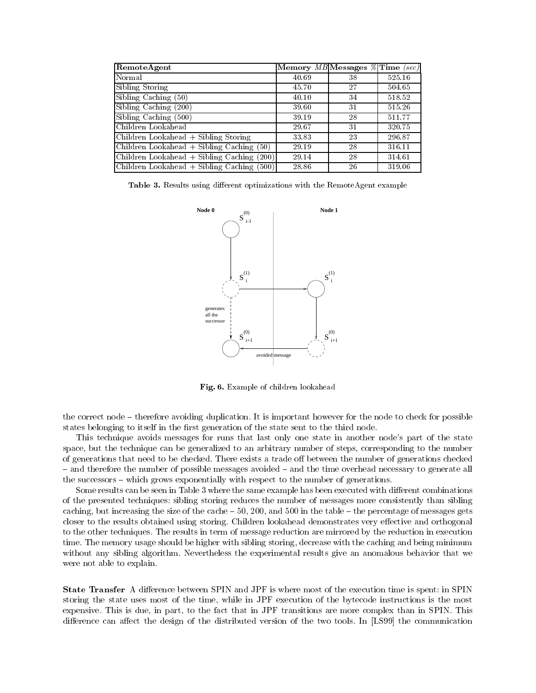| RemoteAgent                                 | Memory $MB$ Messages % Time (sec) |    |        |
|---------------------------------------------|-----------------------------------|----|--------|
| Normal                                      | 40.69                             | 38 | 525.16 |
| Sibling Storing                             | 45.70                             | 27 | 504.65 |
| Sibling Caching (50)                        | 40.10                             | 34 | 518.52 |
| Sibling Caching (200)                       | 39.60                             | 31 | 515.26 |
| Sibling Caching (500)                       | 39.19                             | 28 | 511.77 |
| Children Lookahead                          | 29.67                             | 31 | 320.75 |
| Children Lookahead + Sibling Storing        | 33.83                             | 23 | 296.87 |
| Children Lookahead $+$ Sibling Caching (50) | 29.19                             | 28 | 316.11 |
| Children Lookahead + Sibling Caching (200)  | 29.14                             | 28 | 314.61 |
| Children Lookahead + Sibling Caching (500)  | 28.86                             | 26 | 319.06 |

Table 3. Results using different optimizations with the RemoteAgent example



Fig. 6. Example of children lookahead

the correct node – therefore avoiding duplication. It is important however for the node to check for possible states belonging to itself in the first generation of the state sent to the third node.

This technique avoids messages for runs that last only one state in another node's part of the state space, but the technique can be generalized to an arbitrary number of steps, corresponding to the number of generations that need to be checked. There exists a trade off between the number of generations checked  $-$  and therefore the number of possible messages avoided  $-$  and the time overhead necessary to generate all the successors – which grows exponentially with respect to the number of generations.

Some results can be seen in Table 3 where the same example has been executed with different combinations of the presented techniques: sibling storing reduces the number of messages more consistently than sibling caching, but increasing the size of the cache  $-50$ , 200, and 500 in the table  $-$  the percentage of messages gets closer to the results obtained using storing. Children lookahead demonstrates very effective and orthogonal to the other techniques. The results in term of message reduction are mirrored by the reduction in execution time. The memory usage should be higher with sibling storing, decrease with the caching and being minimum without any sibling algorithm. Nevertheless the experimental results give an anomalous behavior that we were not able to explain.

 $S$  rate **Transfer** A difference between STIN and JFF is where most of the execution time is spent. In SFIN storing the state uses most of the time, while in JPF execution of the bytecode instructions is the most expensive. This is due, in part, to the fact that in JPF transitions are more complex than in SPIN. This difference can affect the design of the distributed version of the two tools. In [LS99] the communication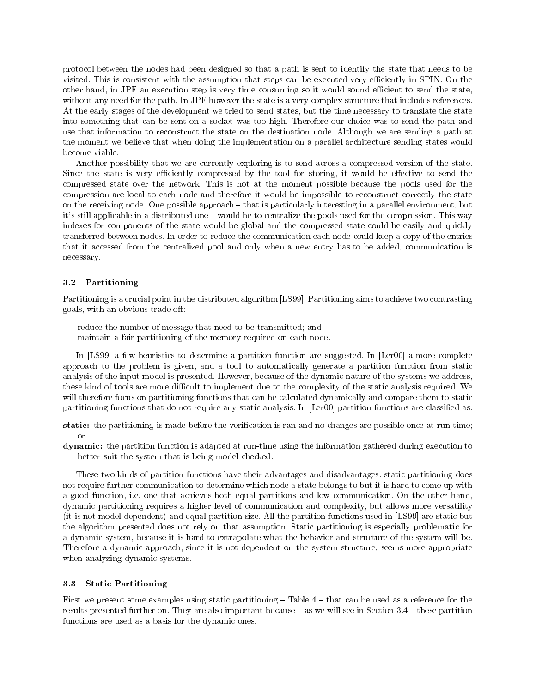protocol between the nodes had been designed so that a path is sent to identify the state that needs to be visited. This is consistent with the assumption that steps can be executed very efficiently in SPIN. On the other hand, in JPF an execution step is very time consuming so it would sound efficient to send the state, without any need for the path. In JPF however the state is a very complex structure that includes references. At the early stages of the development we tried to send states, but the time necessary to translate the state into something that can be sent on a socket was too high. Therefore our choice was to send the path and use that information to reconstruct the state on the destination node. Although we are sending a path at the moment we believe that when doing the implementation on a parallel architecture sending states would

Another possibility that we are currently exploring is to send across a compressed version of the state. Since the state is very efficiently compressed by the tool for storing, it would be effective to send the compressed state over the network. This is not at the moment possible because the pools used for the compression are local to each node and therefore it would be impossible to reconstruct correctly the state on the receiving node. One possible approach – that is particularly interesting in a parallel environment, but it's still applicable in a distributed one - would be to centralize the pools used for the compression. This way indexes for components of the state would be global and the compressed state could be easily and quickly transferred between nodes. In order to reduce the communication each node could keep a copy of the entries that it accessed from the centralized pool and only when a new entry has to be added, communication is necessary.

### 3.2Partitioning

Partitioning is a crucial point in the distributed algorithm [LS99]. Partitioning aims to achieve two contrasting goals, with an obvious trade off.

- { reduce the number of message that need to be transmitted; and
- { maintain a fair partitioning of the memory required on each node.

In [LS99] a few heuristics to determine a partition function are suggested. In [Ler00] a more complete approach to the problem is given, and a tool to automatically generate a partition function from static analysis of the input model is presented. However, because of the dynamic nature of the systems we address, these kind of tools are more difficult to implement due to the complexity of the static analysis required. We will therefore focus on partitioning functions that can be calculated dynamically and compare them to static partitioning functions that do not require any static analysis. In [Ler00] partition functions are classified as:

static: the partitioning is made before the verication is ran and no changes are possible once at run-time;

dynamic: the partition function is adapted at run-time using the information gathered during execution to better suit the system that is being model checked.

These two kinds of partition functions have their advantages and disadvantages: static partitioning does not require further communication to determine which node a state belongs to but it is hard to come up with a good function, i.e. one that achieves both equal partitions and low communication. On the other hand, dynamic partitioning requires a higher level of communication and complexity, but allows more versatility (it is not model dependent) and equal partition size. All the partition functions used in [LS99] are static but the algorithm presented does not rely on that assumption. Static partitioning is especially problematic for a dynamic system, because it is hard to extrapolate what the behavior and structure of the system will be. Therefore a dynamic approach, since it is not dependent on the system structure, seems more appropriate when analyzing dynamic systems.

#### 3.3Static Partitioning

First we present some examples using static partitioning  $-$  Table  $4$   $-$  that can be used as a reference for the results presented further on. They are also important because  $-$  as we will see in Section 3.4  $-$  these partition functions are used as a basis for the dynamic ones.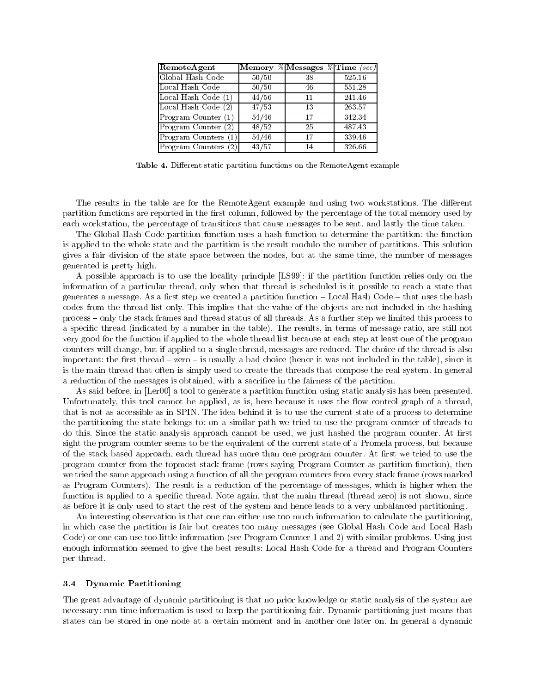| RemoteAgent          |       | Memory % Messages % Time (sec) |        |
|----------------------|-------|--------------------------------|--------|
| Global Hash Code     | 50/50 | 38                             | 525.16 |
| Local Hash Code      | 50/50 | 46                             | 551.28 |
| Local Hash Code (1)  | 44/56 | 11                             | 241.46 |
| Local Hash Code (2)  | 47/53 | 13                             | 263.57 |
| Program Counter (1)  | 54/46 | 17                             | 342.34 |
| Program Counter (2)  | 48/52 | 25                             | 487.43 |
| Program Counters (1) | 54/46 | 17                             | 339.46 |
| Program Counters (2) | 43/57 | 14                             | 326.66 |

Table 4. Different static partition functions on the RemoteAgent example

The results in the table are for the RemoteAgent example and using two workstations. The different partition functions are reported in the first column, followed by the percentage of the total memory used by each workstation, the percentage of transitions that cause messages to be sent, and lastly the time taken.

The Global Hash Code partition function uses a hash function to determine the partition: the function is applied to the whole state and the partition is the result modulo the number of partitions. This solution gives a fair division of the state space between the nodes, but at the same time, the number of messages generated is pretty high.

A possible approach is to use the locality principle [LS99]: if the partition function relies only on the information of a particular thread, only when that thread is scheduled is it possible to reach a state that generates a message. As a first step we created a partition function  $-$  Local Hash Code  $-$  that uses the hash codes from the thread list only. This implies that the value of the objects are not included in the hashing process - only the stack frames and thread status of all threads. As a further step we limited this process to a specific thread (indicated by a number in the table). The results, in terms of message ratio, are still not very good for the function if applied to the whole thread list because at each step at least one of the program counters will change, but if applied to a single thread, messages are reduced. The choice of the thread is also important: the first thread  $-$  zero  $-$  is usually a bad choice (hence it was not included in the table), since it is the main thread that often is simply used to create the threads that compose the real system. In general a reduction of the messages is obtained, with a sacrifice in the fairness of the partition.

As said before, in [Ler00] a tool to generate a partition function using static analysis has been presented. Unfortunately, this tool cannot be applied, as is, here because it uses the flow control graph of a thread, that is not as accessible as in SPIN. The idea behind it is to use the current state of a process to determine the partitioning the state belongs to: on a similar path we tried to use the program counter of threads to do this. Since the static analysis approach cannot be used, we just hashed the program counter. At first sight the program counter seems to be the equivalent of the current state of a Promela process, but because of the stack based approach, each thread has more than one program counter. At first we tried to use the program counter from the topmost stack frame (rows saying Program Counter as partition function), then we tried the same approach using a function of all the program counters from every stack frame (rows marked as Program Counters). The result is a reduction of the percentage of messages, which is higher when the function is applied to a specific thread. Note again, that the main thread (thread zero) is not shown, since as before it is only used to start the rest of the system and hence leads to a very unbalanced partitioning.

An interesting observation is that one can either use too much information to calculate the partitioning, in which case the partition is fair but creates too many messages (see Global Hash Code and Local Hash Code) or one can use too little information (see Program Counter 1 and 2) with similar problems. Using just enough information seemed to give the best results: Local Hash Code for a thread and Program Counters per thread.

#### 3.4Dynamic Partitioning

The great advantage of dynamic partitioning is that no prior knowledge or static analysis of the system are necessary: run-time information is used to keep the partitioning fair. Dynamic partitioning just means that states can be stored in one node at a certain moment and in another one later on. In general a dynamic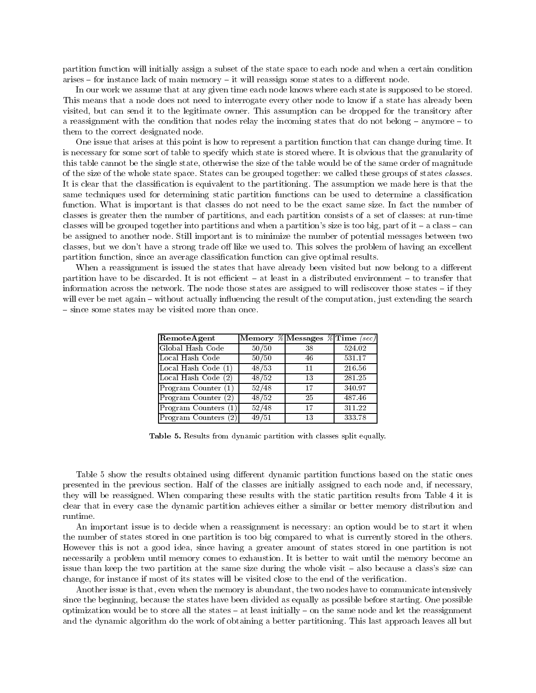partition function will initially assign a subset of the state space to each node and when a certain condition arises  $-$  for instance lack of main memory  $-$  it will reassign some states to a different node.

In our work we assume that at any given time each node knows where each state is supposed to be stored. This means that a node does not need to interrogate every other node to know if a state has already been visited, but can send it to the legitimate owner. This assumption can be dropped for the transitory after a reassignment with the condition that nodes relay the incoming states that do not belong  $-$  anymore  $-$  to them to the correct designated node.

One issue that arises at this point is how to represent a partition function that can change during time. It is necessary for some sort of table to specify which state is stored where. It is obvious that the granularity of this table cannot be the single state, otherwise the size of the table would be of the same order of magnitude of the size of the whole state space. States can be grouped together: we called these groups of states classes. It is clear that the classication is equivalent to the partitioning. The assumption we made here is that the same techniques used for determining static partition functions can be used to determine a classification function. What is important is that classes do not need to be the exact same size. In fact the number of classes is greater then the number of partitions, and each partition consists of a set of classes: at run-time classes will be grouped together into partitions and when a partition's size is too big, part of it  $-$  a class  $-can$ be assigned to another node. Still important is to minimize the number of potential messages between two classes, but we don't have a strong trade off like we used to. This solves the problem of having an excellent partition function, since an average classication function can give optimal results.

When a reassignment is issued the states that have already been visited but now belong to a different partition have to be discarded. It is not efficient  $-$  at least in a distributed environment  $-$  to transfer that information across the network. The node those states are assigned to will rediscover those states  $-$  if they will ever be met again – without actually influencing the result of the computation, just extending the search  $=$  since some states may be visited more than once.

| RemoteAgent          |       | Memory % Messages % Time (sec) |        |
|----------------------|-------|--------------------------------|--------|
| Global Hash Code     | 50/50 | 38                             | 524.02 |
| Local Hash Code      | 50/50 | 46                             | 531.17 |
| Local Hash Code (1)  | 48/53 | 11                             | 216.56 |
| Local Hash Code (2)  | 48/52 | 13                             | 281.25 |
| Program Counter (1)  | 52/48 | 17                             | 340.97 |
| Program Counter (2)  | 48/52 | 25                             | 487.46 |
| Program Counters (1) | 52/48 | 17                             | 311.22 |
| Program Counters (2) | 49/51 | 13                             | 333.78 |

Table 5. Results from dynamic partition with classes split equally.

Table 5 show the results obtained using different dynamic partition functions based on the static ones presented in the previous section. Half of the classes are initially assigned to each node and, if necessary, they will be reassigned. When comparing these results with the static partition results from Table4 it is clear that in every case the dynamic partition achieves either a similar or better memory distribution and runtime.

An important issue is to decide when a reassignment is necessary: an option would be to start it when the number of states stored in one partition is too big compared to what is currently stored in the others. However this is not a good idea, since having a greater amount of states stored in one partition is not necessarily a problem until memory comes to exhaustion. It is better to wait until the memory become an issue than keep the two partition at the same size during the whole visit  $-\text{ also}$  because a class's size can change, for instance if most of its states will be visited close to the end of the verication.

Another issue is that, even when the memory is abundant, the two nodes have to communicate intensively since the beginning, because the states have been divided as equally as possible before starting. One possible optimization would be to store all the states  $-$  at least initially  $-$  on the same node and let the reassignment and the dynamic algorithm do the work of obtaining a better partitioning. This last approach leaves all but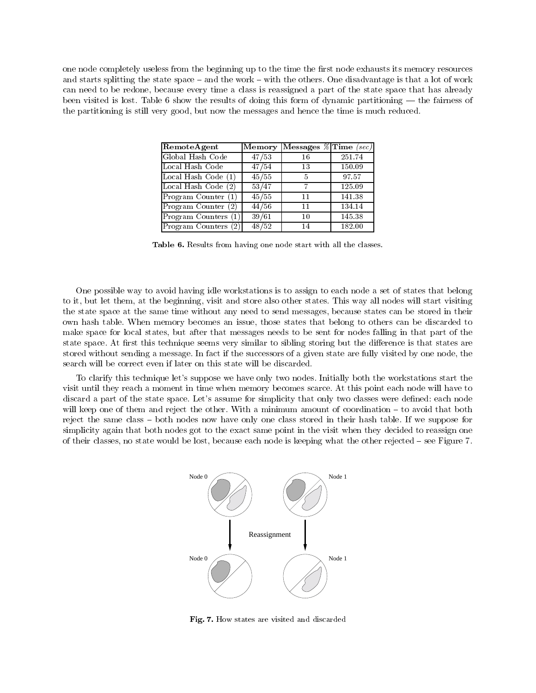one node completely useless from the beginning up to the time the first node exhausts its memory resources and starts splitting the state space  $-$  and the work  $-$  with the others. One disadvantage is that a lot of work can need to be redone, because every time a class is reassigned a part of the state space that has already been visited is lost. Table 6 show the results of doing this form of dynamic partitioning — the fairness of the partitioning is still very good, but now the messages and hence the time is much reduced.

| RemoteAgent          | Memory | Messages $\mathscr{C}$ Time (sec) |        |
|----------------------|--------|-----------------------------------|--------|
| Global Hash Code     | 47/53  | 16                                | 251.74 |
| Local Hash Code      | 47/54  | 13                                | 150.09 |
| Local Hash Code (1)  | 45/55  | 5                                 | 97.57  |
| Local Hash Code (2)  | 53/47  | 7                                 | 125.09 |
| Program Counter (1)  | 45/55  | 11                                | 141.38 |
| Program Counter (2)  | 44/56  | 11                                | 134.14 |
| Program Counters (1) | 39/61  | 10                                | 145.38 |
| Program Counters (2) | 48/52  | 14                                | 182.00 |

Table 6. Results from having one node start with all the classes.

One possible way to avoid having idle workstations is to assign to each node a set of states that belong to it, but let them, at the beginning, visit and store also other states. This way all nodes will start visiting the state space at the same time without any need to send messages, because states can be stored in their own hash table. When memory becomes an issue, those states that belong to others can be discarded to make space for local states, but after that messages needs to be sent for nodes falling in that part of the state space. At first this technique seems very similar to sibling storing but the difference is that states are stored without sending a message. In fact if the successors of a given state are fully visited by one node, the search will be correct even if later on this state will be discarded.

To clarify this technique let's suppose we have only two nodes. Initially both the workstations start the visit until they reach a moment in time when memory becomes scarce. At this point each node will have to discard a part of the state space. Let's assume for simplicity that only two classes were defined: each node will keep one of them and reject the other. With a minimum amount of coordination  $-$  to avoid that both reject the same class – both nodes now have only one class stored in their hash table. If we suppose for simplicity again that both nodes got to the exact same point in the visit when they decided to reassign one of their classes, no state would be lost, because each node is keeping what the other rejected – see Figure 7.



Fig. 7. How states are visited and discarded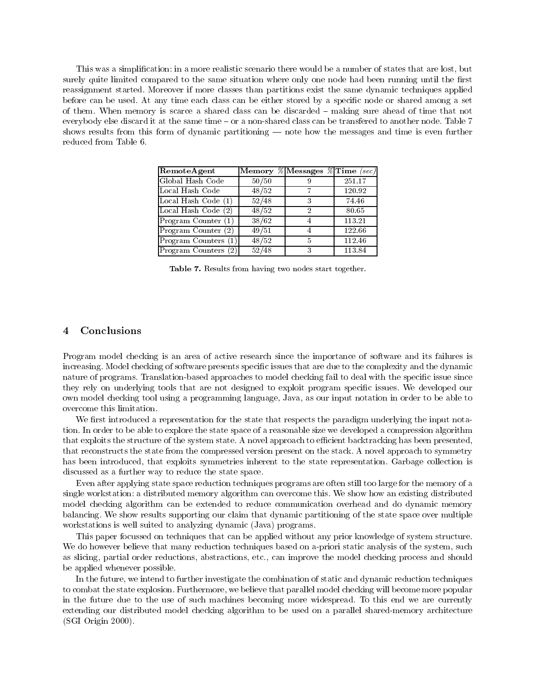This was a simplication: in a more realistic scenario there would be a number of states that are lost, but surely quite limited compared to the same situation where only one node had been running until the first reassignment started. Moreover if more classes than partitions exist the same dynamic techniques applied before can be used. At any time each class can be either stored by a specific node or shared among a set of them. When memory is scarce a shared class can be discarded - making sure ahead of time that not everybody else discard it at the same time  $-$  or a non-shared class can be transfered to another node. Table 7 shows results from this form of dynamic partitioning — note how the messages and time is even further

| RemoteAgent           |       | Memory % Messages % Time (sec) |        |
|-----------------------|-------|--------------------------------|--------|
| Global Hash Code      | 50/50 |                                | 251.17 |
| Local Hash Code       | 48/52 |                                | 120.92 |
| Local Hash Code (1)   | 52/48 | 3                              | 74.46  |
| Local Hash Code (2)   | 48/52 | $\overline{2}$                 | 80.65  |
| Program Counter (1)   | 38/62 |                                | 113.21 |
| Program Counter $(2)$ | 49/51 |                                | 122.66 |
| Program Counters (1)  | 48/52 |                                | 112.46 |
| Program Counters (2)  | 52/48 | 3                              | 113.84 |

Table 7. Results from having two nodes start together.

### $\overline{4}$

Program model checking is an area of active research since the importance of software and its failures is increasing. Model checking of software presents specic issues that are due to the complexity and the dynamic nature of programs. Translation-based approaches to model checking fail to deal with the specic issue since they rely on underlying tools that are not designed to exploit program specific issues. We developed our own model checking tool using a programming language, Java, as our input notation in order to be able to overcome this limitation.

We first introduced a representation for the state that respects the paradigm underlying the input notation. In order to be able to explore the state space of a reasonable size we developed a compression algorithm that exploits the structure of the system state. A novel approach to efficient backtracking has been presented, that reconstructs the state from the compressed version present on the stack. A novel approach to symmetry has been introduced, that exploits symmetries inherent to the state representation. Garbage collection is discussed as a further way to reduce the state space.

Even after applying state space reduction techniques programs are often still too large for the memory of a single workstation: a distributed memory algorithm can overcome this. We show how an existing distributed model checking algorithm can be extended to reduce communication overhead and do dynamic memory balancing. We show results supporting our claim that dynamic partitioning of the state space over multiple workstations is well suited to analyzing dynamic (Java) programs.

This paper focussed on techniques that can be applied without any prior knowledge of system structure. We do however believe that many reduction techniques based on a-priori static analysis of the system, such as slicing, partial order reductions, abstractions, etc., can improve the model checking process and should be applied whenever possible.

In the future, we intend to further investigate the combination of static and dynamic reduction techniques to combat the state explosion. Furthermore, we believe that parallel model checking will become more popular in the future due to the use of such machines becoming more widespread. To this end we are currently extending our distributed model checking algorithm to be used on a parallel shared-memory architecture (SGI Origin 2000).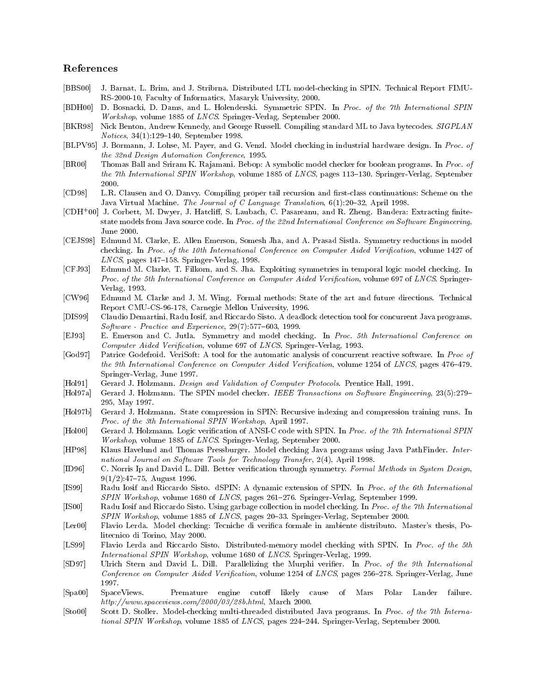## References

- [BBS00] J. Barnat, L. Brim, and J. Stribrna. Distributed LTL model-checking in SPIN. Technical Report FIMU-RS-2000-10, Faculty of Informatics, Masaryk University, 2000.
- [BDH00] D. Bosnacki, D. Dams, and L. Holenderski. Symmetric SPIN. In Proc. of the 7th International SPIN Workshop, volume 1885 of LNCS. Springer-Verlag, September 2000.
- [BKR98] Nick Benton, Andrew Kennedy, and George Russell. Compiling standard ML to Java bytecodes. SIGPLAN Notices, 34(1):129-140, September 1998.
- [BLPV95] J. Bormann, J. Lohse, M. Payer, and G. Venzl. Model checking in industrial hardware design. In Proc. of the 32nd Design Automation Conference, 1995.
- [BR00] Thomas Ball and Sriram K. Rajamani. Bebop: A symbolic model checker for boolean programs. In Proc. of the 7th International SPIN Workshop, volume 1885 of LNCS, pages 113-130. Springer-Verlag, September 2000.
- [CD98] L.R. Clausen and O. Danvy. Compiling proper tail recursion and first-class continuations: Scheme on the Java Virtual Machine. The Journal of C Language Translation,  $6(1):20-32$ , April 1998.
- [CDH<sup>+</sup> 00] J. Corbett, M. Dwyer, J. Hatcli, S. Laubach, C. Pasareanu, and R. Zheng. Bandera: Extracting nitestate models from Java source code. In Proc. of the 22nd International Conference on Software Engineering, June 2000.
- [CEJS98] Edmund M. Clarke, E. Allen Emerson, Somesh Jha, and A. Prasad Sistla. Symmetry reductions in model checking. In Proc. of the 10th International Conference on Computer Aided Verification, volume 1427 of  $LNCS$ , pages 147-158. Springer-Verlag, 1998.
- [CFJ93] Edmund M. Clarke, T. Filkorn, and S. Jha. Exploiting symmetries in temporal logic model checking. In Proc. of the 5th International Conference on Computer Aided Verification, volume 697 of LNCS. Springer-Verlag, 1993.
- [CW96] Edmund M. Clarke and J. M. Wing. Formal methods: State of the art and future directions. Technical Report CMU-CS-96-178, Carnegie Mellon University, 1996.
- [DIS99] Claudio Demartini, Radu Iosif, and Riccardo Sisto. A deadlock detection tool for concurrent Java programs.  $Software$  - Practice and Experience,  $29(7):577-603$ , 1999.
- [EJ93] E. Emerson and C. Jutla. Symmetry and model checking. In Proc. 5th International Conference on Computer Aided Verification, volume 697 of LNCS. Springer-Verlag, 1993.
- [God97] Patrice Godefroid. VeriSoft: A tool for the automatic analysis of concurrent reactive software. In Proc of the 9th International Conference on Computer Aided Verification, volume 1254 of LNCS, pages 476-479. Springer-Verlag, June 1997.
- [Hol91] Gerard J. Holzmann. Design and Validation of Computer Protocols. Prentice Hall, 1991.
- [Hol97a] Gerard J. Holzmann. The SPIN model checker. IEEE Transactions on Software Engineering, 23(5):279-295, May 1997.
- [Hol97b] Gerard J. Holzmann. State compression in SPIN: Recursive indexing and compression training runs. In Proc. of the 3th International SPIN Workshop, April 1997.
- [Hol00] Gerard J. Holzmann. Logic verification of ANSI-C code with SPIN. In Proc. of the 7th International SPIN Workshop, volume 1885 of LNCS. Springer-Verlag, September 2000.
- [HP98] Klaus Havelund and Thomas Pressburger. Model checking Java programs using Java PathFinder. International Journal on Software Tools for Technology Transfer, 2(4), April 1998.
- [ID96] C. Norris Ip and David L. Dill. Better verification through symmetry. Formal Methods in System Design,  $9(1/2):47-75$ , August 1996.
- [IS99] Radu Iosif and Riccardo Sisto. dSPIN: A dynamic extension of SPIN. In Proc. of the 6th International SPIN Workshop, volume 1680 of LNCS, pages 261-276. Springer-Verlag, September 1999.
- [IS00] Radu Iosif and Riccardo Sisto. Using garbage collection in model checking. In Proc. of the 7th International  $SPIN\ Workshop$ , volume 1885 of *LNCS*, pages 20-33. Springer-Verlag, September 2000.
- [Ler00] Flavio Lerda. Model checking: Tecniche di verica formale in ambiente distributo. Master's thesis, Politecnico di Torino, May 2000.
- [LS99] Flavio Lerda and Riccardo Sisto. Distributed-memory model checking with SPIN. In Proc. of the 5th International SPIN Workshop, volume 1680 of LNCS. Springer-Verlag, 1999.
- [SD97] Ulrich Stern and David L. Dill. Parallelizing the Murphi verier. In Proc. of the 9th International Conference on Computer Aided Verification, volume 1254 of LNCS, pages 256-278. Springer-Verlag, June 1997.
- [Spa00] SpaceViews. Premature engine cutoff likely cause of Mars Polar Lander failure. http://www.spaceviews.com/2000/03/28b.html, March 2000.
- [Sto00] Scott D. Stoller. Model-checking multi-threaded distributed Java programs. In Proc. of the 7th International SPIN Workshop, volume 1885 of  $LNCS$ , pages 224-244. Springer-Verlag, September 2000.